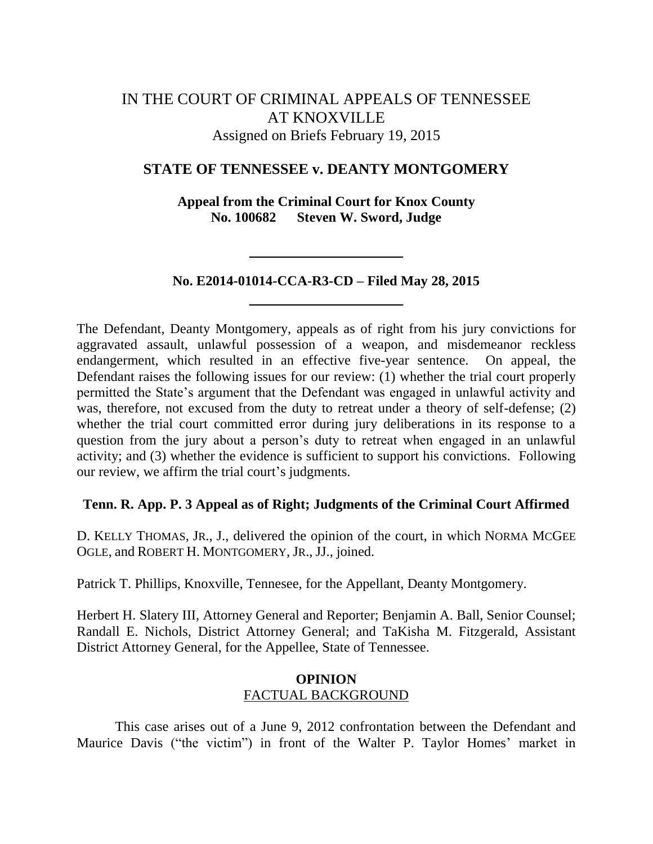# IN THE COURT OF CRIMINAL APPEALS OF TENNESSEE AT KNOXVILLE Assigned on Briefs February 19, 2015

# **STATE OF TENNESSEE v. DEANTY MONTGOMERY**

**Appeal from the Criminal Court for Knox County No. 100682 Steven W. Sword, Judge**

# **No. E2014-01014-CCA-R3-CD – Filed May 28, 2015**

The Defendant, Deanty Montgomery, appeals as of right from his jury convictions for aggravated assault, unlawful possession of a weapon, and misdemeanor reckless endangerment, which resulted in an effective five-year sentence. On appeal, the Defendant raises the following issues for our review: (1) whether the trial court properly permitted the State's argument that the Defendant was engaged in unlawful activity and was, therefore, not excused from the duty to retreat under a theory of self-defense; (2) whether the trial court committed error during jury deliberations in its response to a question from the jury about a person's duty to retreat when engaged in an unlawful activity; and (3) whether the evidence is sufficient to support his convictions. Following our review, we affirm the trial court's judgments.

# **Tenn. R. App. P. 3 Appeal as of Right; Judgments of the Criminal Court Affirmed**

D. KELLY THOMAS, JR., J., delivered the opinion of the court, in which NORMA MCGEE OGLE, and ROBERT H. MONTGOMERY, JR., JJ., joined.

Patrick T. Phillips, Knoxville, Tennesee, for the Appellant, Deanty Montgomery.

Herbert H. Slatery III, Attorney General and Reporter; Benjamin A. Ball, Senior Counsel; Randall E. Nichols, District Attorney General; and TaKisha M. Fitzgerald, Assistant District Attorney General, for the Appellee, State of Tennessee.

# **OPINION** FACTUAL BACKGROUND

This case arises out of a June 9, 2012 confrontation between the Defendant and Maurice Davis ("the victim") in front of the Walter P. Taylor Homes' market in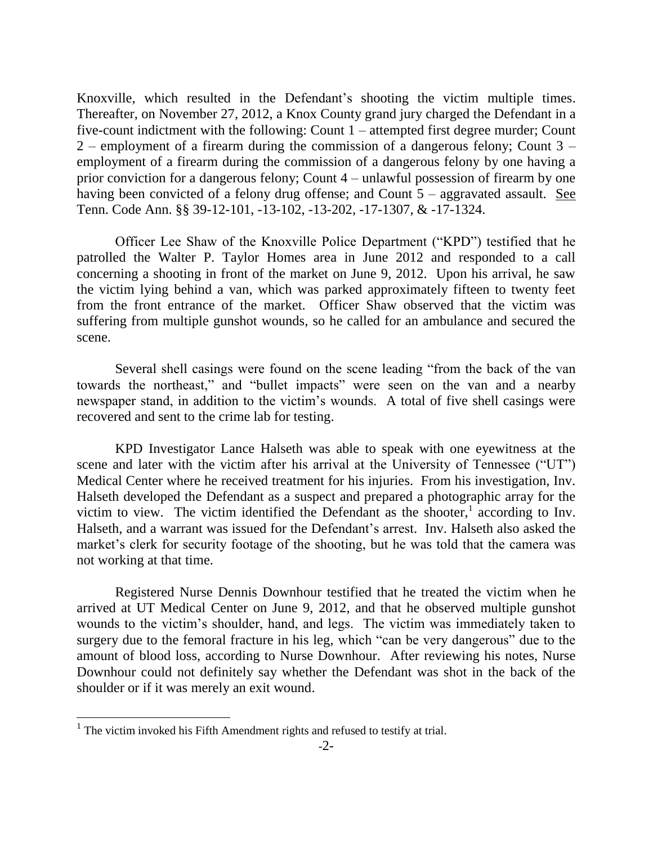Knoxville, which resulted in the Defendant's shooting the victim multiple times. Thereafter, on November 27, 2012, a Knox County grand jury charged the Defendant in a five-count indictment with the following: Count 1 – attempted first degree murder; Count 2 – employment of a firearm during the commission of a dangerous felony; Count 3 – employment of a firearm during the commission of a dangerous felony by one having a prior conviction for a dangerous felony; Count 4 – unlawful possession of firearm by one having been convicted of a felony drug offense; and Count 5 – aggravated assault. See Tenn. Code Ann. §§ 39-12-101, -13-102, -13-202, -17-1307, & -17-1324.

Officer Lee Shaw of the Knoxville Police Department ("KPD") testified that he patrolled the Walter P. Taylor Homes area in June 2012 and responded to a call concerning a shooting in front of the market on June 9, 2012. Upon his arrival, he saw the victim lying behind a van, which was parked approximately fifteen to twenty feet from the front entrance of the market. Officer Shaw observed that the victim was suffering from multiple gunshot wounds, so he called for an ambulance and secured the scene.

Several shell casings were found on the scene leading "from the back of the van towards the northeast," and "bullet impacts" were seen on the van and a nearby newspaper stand, in addition to the victim's wounds. A total of five shell casings were recovered and sent to the crime lab for testing.

KPD Investigator Lance Halseth was able to speak with one eyewitness at the scene and later with the victim after his arrival at the University of Tennessee ("UT") Medical Center where he received treatment for his injuries. From his investigation, Inv. Halseth developed the Defendant as a suspect and prepared a photographic array for the victim to view. The victim identified the Defendant as the shooter, $\frac{1}{1}$  according to Inv. Halseth, and a warrant was issued for the Defendant's arrest. Inv. Halseth also asked the market's clerk for security footage of the shooting, but he was told that the camera was not working at that time.

Registered Nurse Dennis Downhour testified that he treated the victim when he arrived at UT Medical Center on June 9, 2012, and that he observed multiple gunshot wounds to the victim's shoulder, hand, and legs. The victim was immediately taken to surgery due to the femoral fracture in his leg, which "can be very dangerous" due to the amount of blood loss, according to Nurse Downhour. After reviewing his notes, Nurse Downhour could not definitely say whether the Defendant was shot in the back of the shoulder or if it was merely an exit wound.

l

 $<sup>1</sup>$  The victim invoked his Fifth Amendment rights and refused to testify at trial.</sup>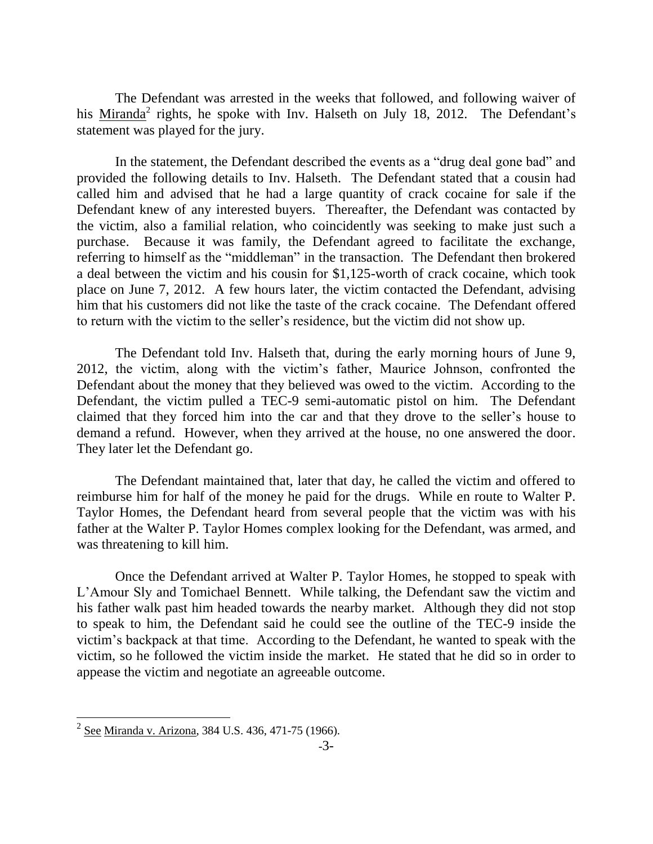The Defendant was arrested in the weeks that followed, and following waiver of his  $Miranda<sup>2</sup>$  rights, he spoke with Inv. Halseth on July 18, 2012. The Defendant's statement was played for the jury.

In the statement, the Defendant described the events as a "drug deal gone bad" and provided the following details to Inv. Halseth. The Defendant stated that a cousin had called him and advised that he had a large quantity of crack cocaine for sale if the Defendant knew of any interested buyers. Thereafter, the Defendant was contacted by the victim, also a familial relation, who coincidently was seeking to make just such a purchase. Because it was family, the Defendant agreed to facilitate the exchange, referring to himself as the "middleman" in the transaction. The Defendant then brokered a deal between the victim and his cousin for \$1,125-worth of crack cocaine, which took place on June 7, 2012. A few hours later, the victim contacted the Defendant, advising him that his customers did not like the taste of the crack cocaine. The Defendant offered to return with the victim to the seller's residence, but the victim did not show up.

The Defendant told Inv. Halseth that, during the early morning hours of June 9, 2012, the victim, along with the victim's father, Maurice Johnson, confronted the Defendant about the money that they believed was owed to the victim. According to the Defendant, the victim pulled a TEC-9 semi-automatic pistol on him. The Defendant claimed that they forced him into the car and that they drove to the seller's house to demand a refund. However, when they arrived at the house, no one answered the door. They later let the Defendant go.

The Defendant maintained that, later that day, he called the victim and offered to reimburse him for half of the money he paid for the drugs. While en route to Walter P. Taylor Homes, the Defendant heard from several people that the victim was with his father at the Walter P. Taylor Homes complex looking for the Defendant, was armed, and was threatening to kill him.

Once the Defendant arrived at Walter P. Taylor Homes, he stopped to speak with L'Amour Sly and Tomichael Bennett. While talking, the Defendant saw the victim and his father walk past him headed towards the nearby market. Although they did not stop to speak to him, the Defendant said he could see the outline of the TEC-9 inside the victim's backpack at that time. According to the Defendant, he wanted to speak with the victim, so he followed the victim inside the market. He stated that he did so in order to appease the victim and negotiate an agreeable outcome.

 2 See Miranda v. Arizona, 384 U.S. 436, 471-75 (1966).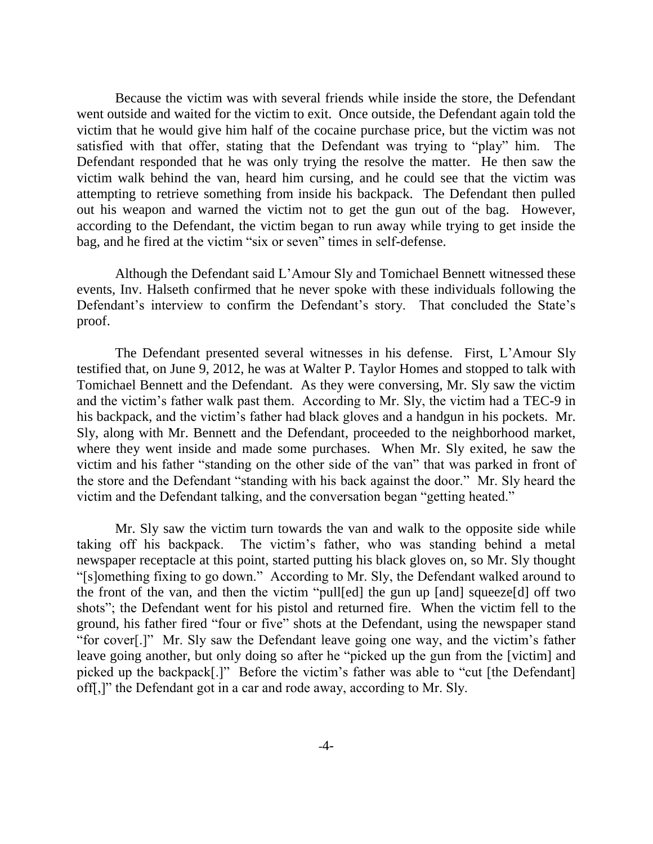Because the victim was with several friends while inside the store, the Defendant went outside and waited for the victim to exit. Once outside, the Defendant again told the victim that he would give him half of the cocaine purchase price, but the victim was not satisfied with that offer, stating that the Defendant was trying to "play" him. The Defendant responded that he was only trying the resolve the matter. He then saw the victim walk behind the van, heard him cursing, and he could see that the victim was attempting to retrieve something from inside his backpack. The Defendant then pulled out his weapon and warned the victim not to get the gun out of the bag. However, according to the Defendant, the victim began to run away while trying to get inside the bag, and he fired at the victim "six or seven" times in self-defense.

Although the Defendant said L'Amour Sly and Tomichael Bennett witnessed these events, Inv. Halseth confirmed that he never spoke with these individuals following the Defendant's interview to confirm the Defendant's story. That concluded the State's proof.

The Defendant presented several witnesses in his defense. First, L'Amour Sly testified that, on June 9, 2012, he was at Walter P. Taylor Homes and stopped to talk with Tomichael Bennett and the Defendant. As they were conversing, Mr. Sly saw the victim and the victim's father walk past them. According to Mr. Sly, the victim had a TEC-9 in his backpack, and the victim's father had black gloves and a handgun in his pockets. Mr. Sly, along with Mr. Bennett and the Defendant, proceeded to the neighborhood market, where they went inside and made some purchases. When Mr. Sly exited, he saw the victim and his father "standing on the other side of the van" that was parked in front of the store and the Defendant "standing with his back against the door." Mr. Sly heard the victim and the Defendant talking, and the conversation began "getting heated."

Mr. Sly saw the victim turn towards the van and walk to the opposite side while taking off his backpack. The victim's father, who was standing behind a metal newspaper receptacle at this point, started putting his black gloves on, so Mr. Sly thought ―[s]omething fixing to go down.‖ According to Mr. Sly, the Defendant walked around to the front of the van, and then the victim "pull[ed] the gun up [and] squeeze[d] off two shots"; the Defendant went for his pistol and returned fire. When the victim fell to the ground, his father fired "four or five" shots at the Defendant, using the newspaper stand "for cover<sup>[1]</sup>" Mr. Sly saw the Defendant leave going one way, and the victim's father leave going another, but only doing so after he "picked up the gun from the [victim] and picked up the backpack[.]" Before the victim's father was able to "cut [the Defendant] off[,]" the Defendant got in a car and rode away, according to Mr. Sly.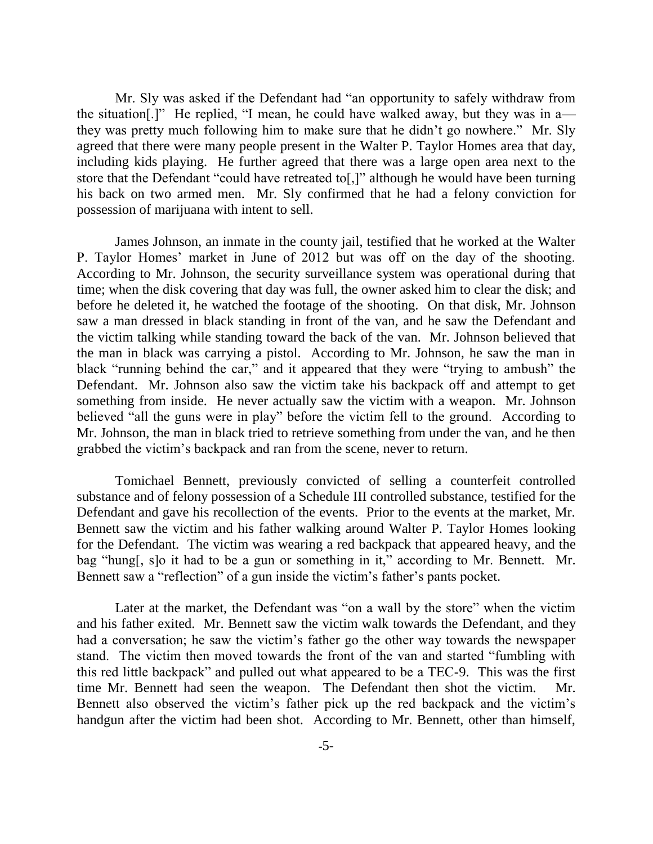Mr. Sly was asked if the Defendant had "an opportunity to safely withdraw from the situation.]" He replied, "I mean, he could have walked away, but they was in  $a$  they was pretty much following him to make sure that he didn't go nowhere." Mr. Sly agreed that there were many people present in the Walter P. Taylor Homes area that day, including kids playing. He further agreed that there was a large open area next to the store that the Defendant "could have retreated to[,]" although he would have been turning his back on two armed men. Mr. Sly confirmed that he had a felony conviction for possession of marijuana with intent to sell.

James Johnson, an inmate in the county jail, testified that he worked at the Walter P. Taylor Homes' market in June of 2012 but was off on the day of the shooting. According to Mr. Johnson, the security surveillance system was operational during that time; when the disk covering that day was full, the owner asked him to clear the disk; and before he deleted it, he watched the footage of the shooting. On that disk, Mr. Johnson saw a man dressed in black standing in front of the van, and he saw the Defendant and the victim talking while standing toward the back of the van. Mr. Johnson believed that the man in black was carrying a pistol. According to Mr. Johnson, he saw the man in black "running behind the car," and it appeared that they were "trying to ambush" the Defendant. Mr. Johnson also saw the victim take his backpack off and attempt to get something from inside. He never actually saw the victim with a weapon. Mr. Johnson believed "all the guns were in play" before the victim fell to the ground. According to Mr. Johnson, the man in black tried to retrieve something from under the van, and he then grabbed the victim's backpack and ran from the scene, never to return.

Tomichael Bennett, previously convicted of selling a counterfeit controlled substance and of felony possession of a Schedule III controlled substance, testified for the Defendant and gave his recollection of the events. Prior to the events at the market, Mr. Bennett saw the victim and his father walking around Walter P. Taylor Homes looking for the Defendant. The victim was wearing a red backpack that appeared heavy, and the bag "hung[, s]o it had to be a gun or something in it," according to Mr. Bennett. Mr. Bennett saw a "reflection" of a gun inside the victim's father's pants pocket.

Later at the market, the Defendant was "on a wall by the store" when the victim and his father exited. Mr. Bennett saw the victim walk towards the Defendant, and they had a conversation; he saw the victim's father go the other way towards the newspaper stand. The victim then moved towards the front of the van and started "fumbling with this red little backpack" and pulled out what appeared to be a TEC-9. This was the first time Mr. Bennett had seen the weapon. The Defendant then shot the victim. Mr. Bennett also observed the victim's father pick up the red backpack and the victim's handgun after the victim had been shot. According to Mr. Bennett, other than himself,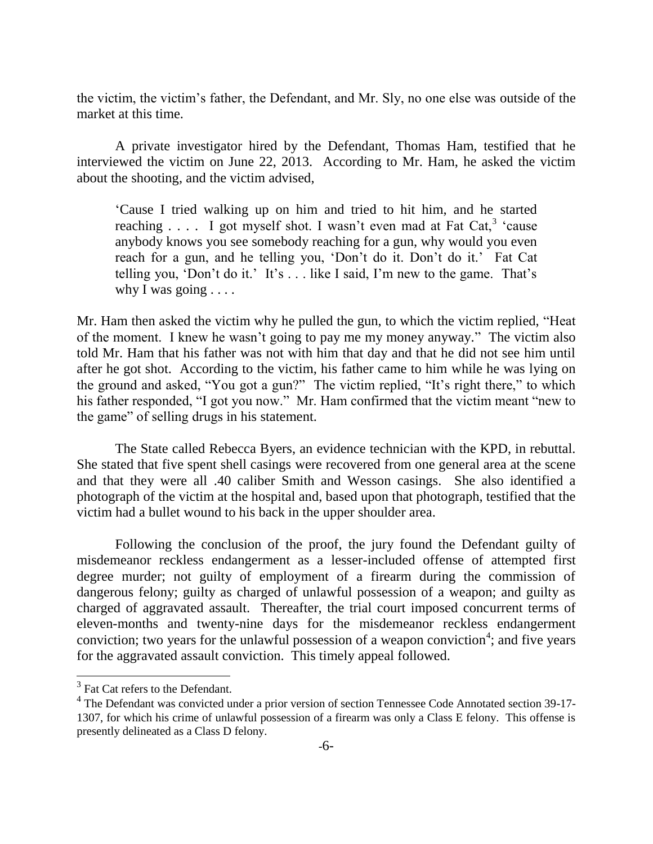the victim, the victim's father, the Defendant, and Mr. Sly, no one else was outside of the market at this time.

A private investigator hired by the Defendant, Thomas Ham, testified that he interviewed the victim on June 22, 2013. According to Mr. Ham, he asked the victim about the shooting, and the victim advised,

‗Cause I tried walking up on him and tried to hit him, and he started reaching  $\ldots$  I got myself shot. I wasn't even mad at Fat Cat,<sup>3</sup> 'cause anybody knows you see somebody reaching for a gun, why would you even reach for a gun, and he telling you, 'Don't do it. Don't do it.' Fat Cat telling you, 'Don't do it.' It's  $\dots$  like I said, I'm new to the game. That's why I was going  $\ldots$ .

Mr. Ham then asked the victim why he pulled the gun, to which the victim replied, "Heat of the moment. I knew he wasn't going to pay me my money anyway." The victim also told Mr. Ham that his father was not with him that day and that he did not see him until after he got shot. According to the victim, his father came to him while he was lying on the ground and asked, "You got a gun?" The victim replied, "It's right there," to which his father responded, "I got you now." Mr. Ham confirmed that the victim meant "new to the game" of selling drugs in his statement.

The State called Rebecca Byers, an evidence technician with the KPD, in rebuttal. She stated that five spent shell casings were recovered from one general area at the scene and that they were all .40 caliber Smith and Wesson casings. She also identified a photograph of the victim at the hospital and, based upon that photograph, testified that the victim had a bullet wound to his back in the upper shoulder area.

Following the conclusion of the proof, the jury found the Defendant guilty of misdemeanor reckless endangerment as a lesser-included offense of attempted first degree murder; not guilty of employment of a firearm during the commission of dangerous felony; guilty as charged of unlawful possession of a weapon; and guilty as charged of aggravated assault. Thereafter, the trial court imposed concurrent terms of eleven-months and twenty-nine days for the misdemeanor reckless endangerment conviction; two years for the unlawful possession of a weapon conviction<sup>4</sup>; and five years for the aggravated assault conviction. This timely appeal followed.

l

<sup>&</sup>lt;sup>3</sup> Fat Cat refers to the Defendant.

<sup>&</sup>lt;sup>4</sup> The Defendant was convicted under a prior version of section Tennessee Code Annotated section 39-17-1307, for which his crime of unlawful possession of a firearm was only a Class E felony. This offense is presently delineated as a Class D felony.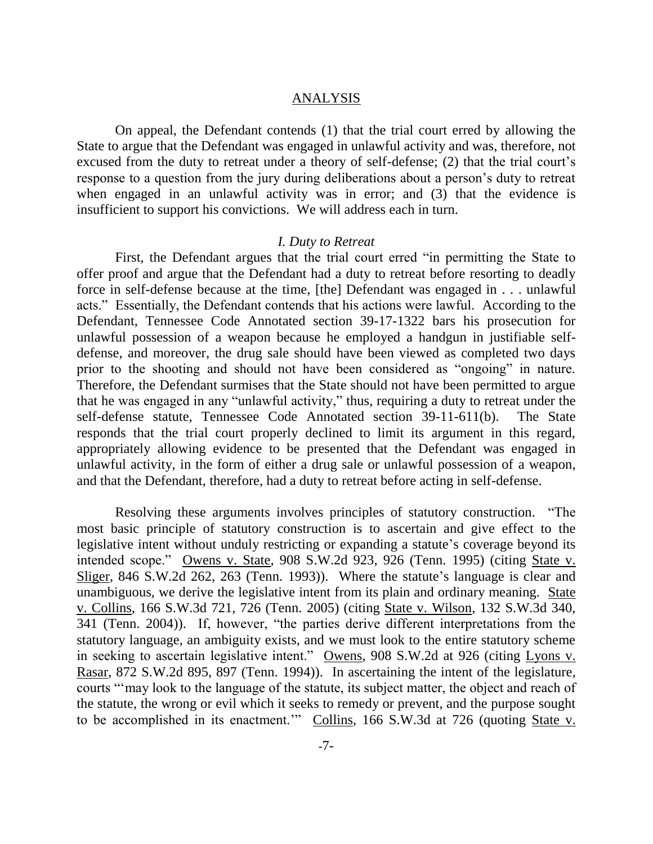### ANALYSIS

On appeal, the Defendant contends (1) that the trial court erred by allowing the State to argue that the Defendant was engaged in unlawful activity and was, therefore, not excused from the duty to retreat under a theory of self-defense; (2) that the trial court's response to a question from the jury during deliberations about a person's duty to retreat when engaged in an unlawful activity was in error; and (3) that the evidence is insufficient to support his convictions. We will address each in turn.

#### *I. Duty to Retreat*

First, the Defendant argues that the trial court erred "in permitting the State to offer proof and argue that the Defendant had a duty to retreat before resorting to deadly force in self-defense because at the time, [the] Defendant was engaged in . . . unlawful acts." Essentially, the Defendant contends that his actions were lawful. According to the Defendant, Tennessee Code Annotated section 39-17-1322 bars his prosecution for unlawful possession of a weapon because he employed a handgun in justifiable selfdefense, and moreover, the drug sale should have been viewed as completed two days prior to the shooting and should not have been considered as "ongoing" in nature. Therefore, the Defendant surmises that the State should not have been permitted to argue that he was engaged in any "unlawful activity," thus, requiring a duty to retreat under the self-defense statute, Tennessee Code Annotated section 39-11-611(b). The State responds that the trial court properly declined to limit its argument in this regard, appropriately allowing evidence to be presented that the Defendant was engaged in unlawful activity, in the form of either a drug sale or unlawful possession of a weapon, and that the Defendant, therefore, had a duty to retreat before acting in self-defense.

Resolving these arguments involves principles of statutory construction. "The most basic principle of statutory construction is to ascertain and give effect to the legislative intent without unduly restricting or expanding a statute's coverage beyond its intended scope." Owens v. State, 908 S.W.2d 923, 926 (Tenn. 1995) (citing State v. Sliger, 846 S.W.2d 262, 263 (Tenn. 1993)). Where the statute's language is clear and unambiguous, we derive the legislative intent from its plain and ordinary meaning. State v. Collins, 166 S.W.3d 721, 726 (Tenn. 2005) (citing State v. Wilson, 132 S.W.3d 340, 341 (Tenn. 2004)). If, however, "the parties derive different interpretations from the statutory language, an ambiguity exists, and we must look to the entire statutory scheme in seeking to ascertain legislative intent." Owens, 908 S.W.2d at 926 (citing Lyons v. Rasar, 872 S.W.2d 895, 897 (Tenn. 1994)). In ascertaining the intent of the legislature, courts "may look to the language of the statute, its subject matter, the object and reach of the statute, the wrong or evil which it seeks to remedy or prevent, and the purpose sought to be accomplished in its enactment." Collins, 166 S.W.3d at 726 (quoting State v.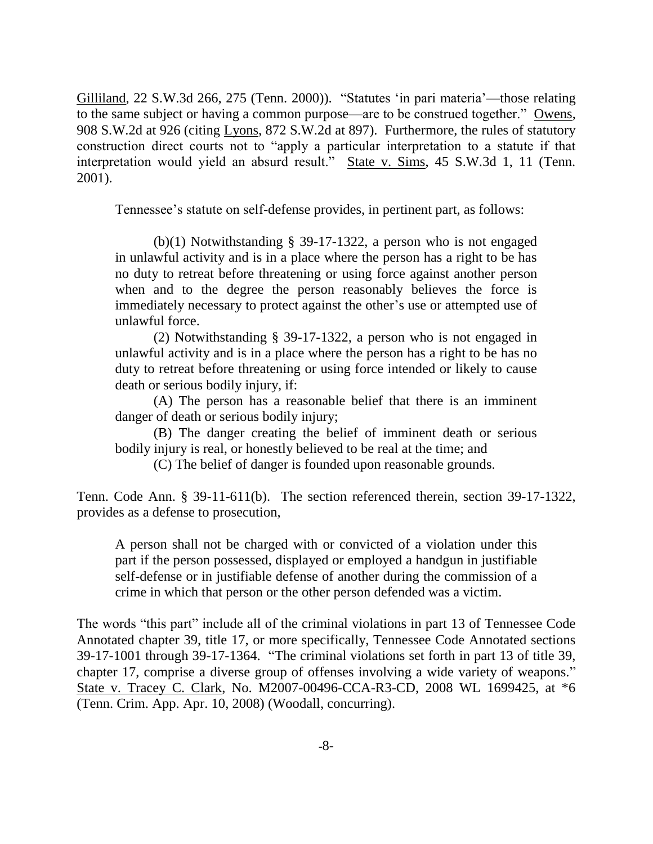Gilliland, 22 S.W.3d 266, 275 (Tenn. 2000)). "Statutes 'in pari materia'—those relating to the same subject or having a common purpose—are to be construed together." Owens, 908 S.W.2d at 926 (citing Lyons, 872 S.W.2d at 897). Furthermore, the rules of statutory construction direct courts not to "apply a particular interpretation to a statute if that interpretation would yield an absurd result." State v. Sims, 45 S.W.3d 1, 11 (Tenn. 2001).

Tennessee's statute on self-defense provides, in pertinent part, as follows:

(b)(1) Notwithstanding § 39-17-1322, a person who is not engaged in unlawful activity and is in a place where the person has a right to be has no duty to retreat before threatening or using force against another person when and to the degree the person reasonably believes the force is immediately necessary to protect against the other's use or attempted use of unlawful force.

(2) Notwithstanding § 39-17-1322, a person who is not engaged in unlawful activity and is in a place where the person has a right to be has no duty to retreat before threatening or using force intended or likely to cause death or serious bodily injury, if:

(A) The person has a reasonable belief that there is an imminent danger of death or serious bodily injury;

(B) The danger creating the belief of imminent death or serious bodily injury is real, or honestly believed to be real at the time; and

(C) The belief of danger is founded upon reasonable grounds.

Tenn. Code Ann. § 39-11-611(b). The section referenced therein, section 39-17-1322, provides as a defense to prosecution,

A person shall not be charged with or convicted of a violation under this part if the person possessed, displayed or employed a handgun in justifiable self-defense or in justifiable defense of another during the commission of a crime in which that person or the other person defended was a victim.

The words "this part" include all of the criminal violations in part 13 of Tennessee Code Annotated chapter 39, title 17, or more specifically, Tennessee Code Annotated sections 39-17-1001 through 39-17-1364. "The criminal violations set forth in part 13 of title 39, chapter 17, comprise a diverse group of offenses involving a wide variety of weapons." State v. Tracey C. Clark, No. M2007-00496-CCA-R3-CD, 2008 WL 1699425, at \*6 (Tenn. Crim. App. Apr. 10, 2008) (Woodall, concurring).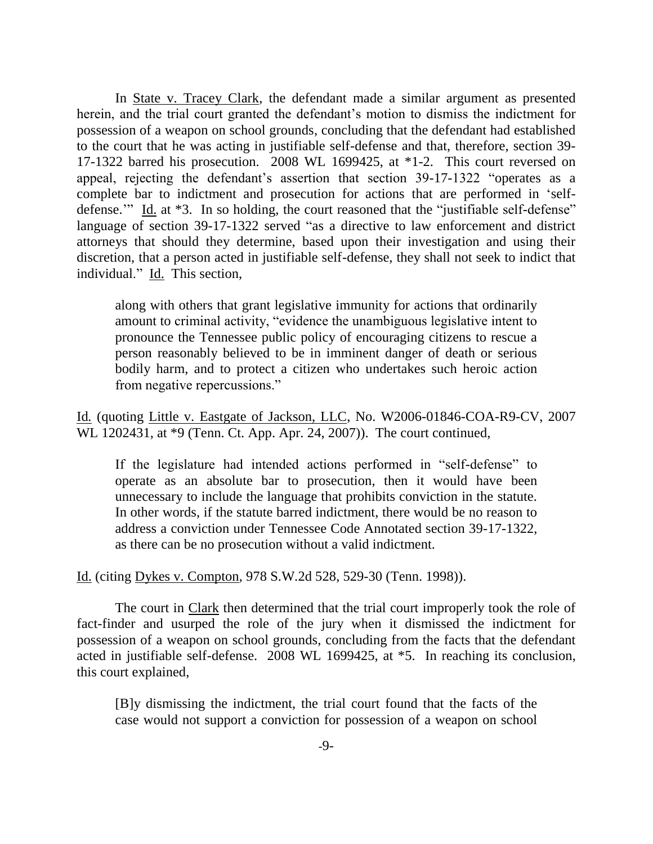In <u>State v. Tracey Clark</u>, the defendant made a similar argument as presented herein, and the trial court granted the defendant's motion to dismiss the indictment for possession of a weapon on school grounds, concluding that the defendant had established to the court that he was acting in justifiable self-defense and that, therefore, section 39- 17-1322 barred his prosecution. 2008 WL 1699425, at \*1-2. This court reversed on appeal, rejecting the defendant's assertion that section 39-17-1322 "operates as a complete bar to indictment and prosecution for actions that are performed in 'selfdefense." Id. at  $*3$ . In so holding, the court reasoned that the "justifiable self-defense" language of section 39-17-1322 served "as a directive to law enforcement and district attorneys that should they determine, based upon their investigation and using their discretion, that a person acted in justifiable self-defense, they shall not seek to indict that individual." Id. This section,

along with others that grant legislative immunity for actions that ordinarily amount to criminal activity, "evidence the unambiguous legislative intent to pronounce the Tennessee public policy of encouraging citizens to rescue a person reasonably believed to be in imminent danger of death or serious bodily harm, and to protect a citizen who undertakes such heroic action from negative repercussions."

Id*.* (quoting Little v. Eastgate of Jackson, LLC, No. W2006-01846-COA-R9-CV, 2007 WL 1202431, at \*9 (Tenn. Ct. App. Apr. 24, 2007)). The court continued,

If the legislature had intended actions performed in "self-defense" to operate as an absolute bar to prosecution, then it would have been unnecessary to include the language that prohibits conviction in the statute. In other words, if the statute barred indictment, there would be no reason to address a conviction under Tennessee Code Annotated section 39-17-1322, as there can be no prosecution without a valid indictment.

Id. (citing Dykes v. Compton, 978 S.W.2d 528, 529-30 (Tenn. 1998)).

The court in Clark then determined that the trial court improperly took the role of fact-finder and usurped the role of the jury when it dismissed the indictment for possession of a weapon on school grounds, concluding from the facts that the defendant acted in justifiable self-defense. 2008 WL 1699425, at \*5. In reaching its conclusion, this court explained,

[B]y dismissing the indictment, the trial court found that the facts of the case would not support a conviction for possession of a weapon on school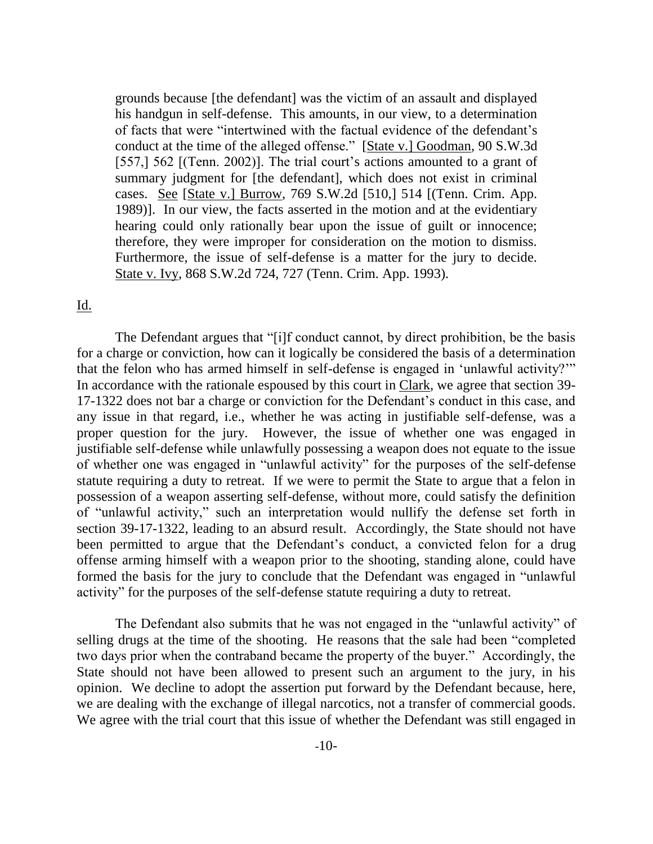grounds because [the defendant] was the victim of an assault and displayed his handgun in self-defense. This amounts, in our view, to a determination of facts that were "intertwined with the factual evidence of the defendant's conduct at the time of the alleged offense." [State v.] Goodman, 90 S.W.3d] [557,] 562 [(Tenn. 2002)]. The trial court's actions amounted to a grant of summary judgment for [the defendant], which does not exist in criminal cases. See [State v.] Burrow, 769 S.W.2d [510,] 514 [(Tenn. Crim. App. 1989)]. In our view, the facts asserted in the motion and at the evidentiary hearing could only rationally bear upon the issue of guilt or innocence; therefore, they were improper for consideration on the motion to dismiss. Furthermore, the issue of self-defense is a matter for the jury to decide. State v. Ivy, 868 S.W.2d 724, 727 (Tenn. Crim. App. 1993).

## Id.

The Defendant argues that "[i]f conduct cannot, by direct prohibition, be the basis for a charge or conviction, how can it logically be considered the basis of a determination that the felon who has armed himself in self-defense is engaged in 'unlawful activity?'" In accordance with the rationale espoused by this court in Clark, we agree that section 39- 17-1322 does not bar a charge or conviction for the Defendant's conduct in this case, and any issue in that regard, i.e., whether he was acting in justifiable self-defense, was a proper question for the jury. However, the issue of whether one was engaged in justifiable self-defense while unlawfully possessing a weapon does not equate to the issue of whether one was engaged in "unlawful activity" for the purposes of the self-defense statute requiring a duty to retreat. If we were to permit the State to argue that a felon in possession of a weapon asserting self-defense, without more, could satisfy the definition of "unlawful activity," such an interpretation would nullify the defense set forth in section 39-17-1322, leading to an absurd result. Accordingly, the State should not have been permitted to argue that the Defendant's conduct, a convicted felon for a drug offense arming himself with a weapon prior to the shooting, standing alone, could have formed the basis for the jury to conclude that the Defendant was engaged in "unlawful" activity" for the purposes of the self-defense statute requiring a duty to retreat.

The Defendant also submits that he was not engaged in the "unlawful activity" of selling drugs at the time of the shooting. He reasons that the sale had been "completed" two days prior when the contraband became the property of the buyer." Accordingly, the State should not have been allowed to present such an argument to the jury, in his opinion. We decline to adopt the assertion put forward by the Defendant because, here, we are dealing with the exchange of illegal narcotics, not a transfer of commercial goods. We agree with the trial court that this issue of whether the Defendant was still engaged in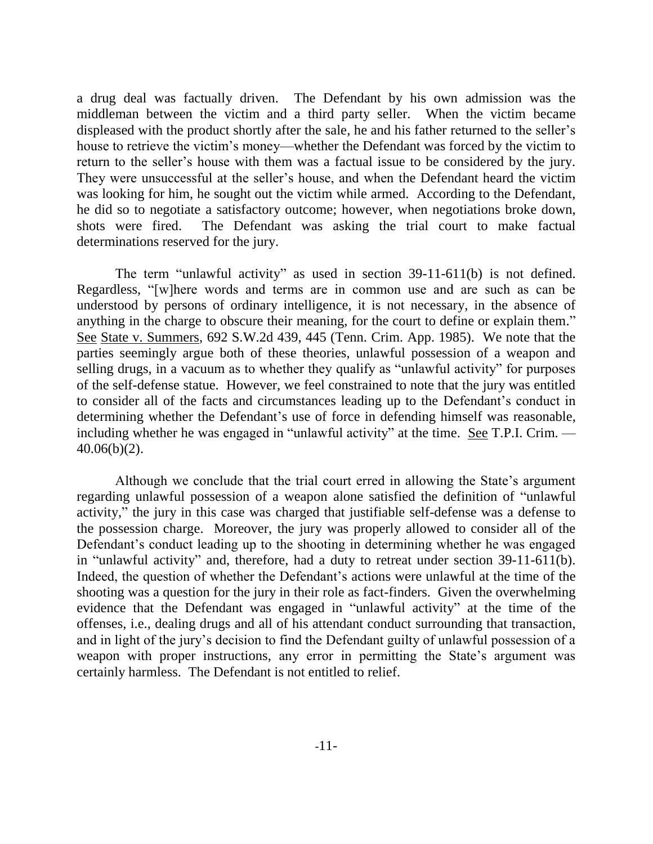a drug deal was factually driven. The Defendant by his own admission was the middleman between the victim and a third party seller. When the victim became displeased with the product shortly after the sale, he and his father returned to the seller's house to retrieve the victim's money—whether the Defendant was forced by the victim to return to the seller's house with them was a factual issue to be considered by the jury. They were unsuccessful at the seller's house, and when the Defendant heard the victim was looking for him, he sought out the victim while armed. According to the Defendant, he did so to negotiate a satisfactory outcome; however, when negotiations broke down, shots were fired. The Defendant was asking the trial court to make factual determinations reserved for the jury.

The term "unlawful activity" as used in section  $39-11-611(b)$  is not defined. Regardless, "[w]here words and terms are in common use and are such as can be understood by persons of ordinary intelligence, it is not necessary, in the absence of anything in the charge to obscure their meaning, for the court to define or explain them." See State v. Summers, 692 S.W.2d 439, 445 (Tenn. Crim. App. 1985). We note that the parties seemingly argue both of these theories, unlawful possession of a weapon and selling drugs, in a vacuum as to whether they qualify as "unlawful activity" for purposes of the self-defense statue. However, we feel constrained to note that the jury was entitled to consider all of the facts and circumstances leading up to the Defendant's conduct in determining whether the Defendant's use of force in defending himself was reasonable, including whether he was engaged in "unlawful activity" at the time. See T.P.I. Crim.  $-$ 40.06(b)(2).

Although we conclude that the trial court erred in allowing the State's argument regarding unlawful possession of a weapon alone satisfied the definition of "unlawful activity," the jury in this case was charged that justifiable self-defense was a defense to the possession charge. Moreover, the jury was properly allowed to consider all of the Defendant's conduct leading up to the shooting in determining whether he was engaged in "unlawful activity" and, therefore, had a duty to retreat under section  $39-11-611(b)$ . Indeed, the question of whether the Defendant's actions were unlawful at the time of the shooting was a question for the jury in their role as fact-finders. Given the overwhelming evidence that the Defendant was engaged in "unlawful activity" at the time of the offenses, i.e., dealing drugs and all of his attendant conduct surrounding that transaction, and in light of the jury's decision to find the Defendant guilty of unlawful possession of a weapon with proper instructions, any error in permitting the State's argument was certainly harmless. The Defendant is not entitled to relief.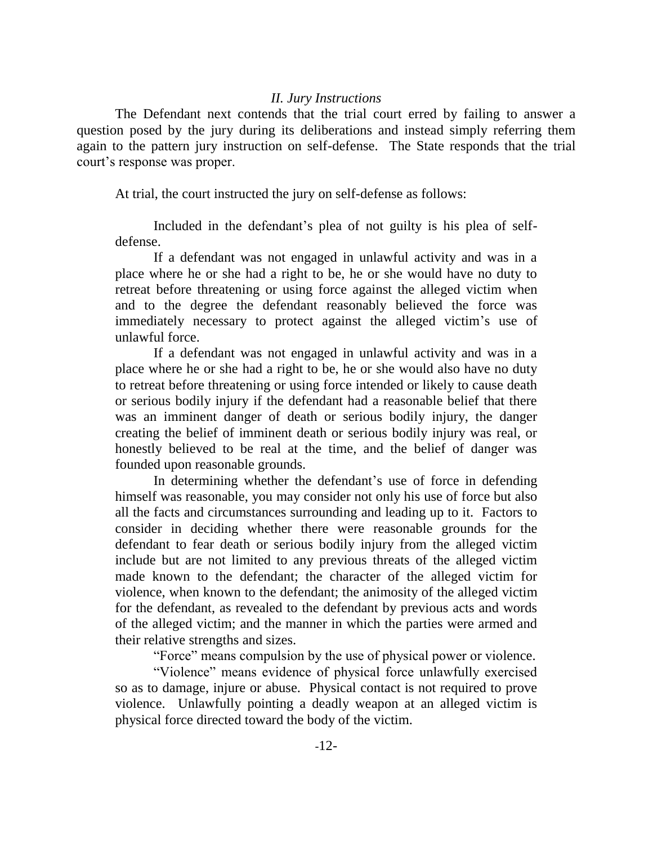### *II. Jury Instructions*

The Defendant next contends that the trial court erred by failing to answer a question posed by the jury during its deliberations and instead simply referring them again to the pattern jury instruction on self-defense. The State responds that the trial court's response was proper.

At trial, the court instructed the jury on self-defense as follows:

Included in the defendant's plea of not guilty is his plea of selfdefense.

If a defendant was not engaged in unlawful activity and was in a place where he or she had a right to be, he or she would have no duty to retreat before threatening or using force against the alleged victim when and to the degree the defendant reasonably believed the force was immediately necessary to protect against the alleged victim's use of unlawful force.

If a defendant was not engaged in unlawful activity and was in a place where he or she had a right to be, he or she would also have no duty to retreat before threatening or using force intended or likely to cause death or serious bodily injury if the defendant had a reasonable belief that there was an imminent danger of death or serious bodily injury, the danger creating the belief of imminent death or serious bodily injury was real, or honestly believed to be real at the time, and the belief of danger was founded upon reasonable grounds.

In determining whether the defendant's use of force in defending himself was reasonable, you may consider not only his use of force but also all the facts and circumstances surrounding and leading up to it. Factors to consider in deciding whether there were reasonable grounds for the defendant to fear death or serious bodily injury from the alleged victim include but are not limited to any previous threats of the alleged victim made known to the defendant; the character of the alleged victim for violence, when known to the defendant; the animosity of the alleged victim for the defendant, as revealed to the defendant by previous acts and words of the alleged victim; and the manner in which the parties were armed and their relative strengths and sizes.

―Force‖ means compulsion by the use of physical power or violence.

"Violence" means evidence of physical force unlawfully exercised so as to damage, injure or abuse. Physical contact is not required to prove violence. Unlawfully pointing a deadly weapon at an alleged victim is physical force directed toward the body of the victim.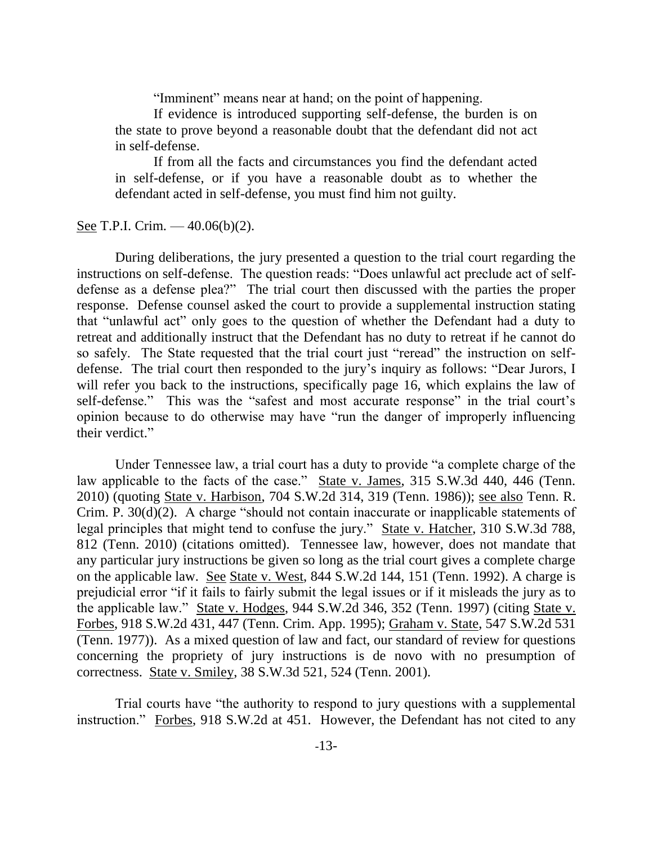"Imminent" means near at hand; on the point of happening.

If evidence is introduced supporting self-defense, the burden is on the state to prove beyond a reasonable doubt that the defendant did not act in self-defense.

If from all the facts and circumstances you find the defendant acted in self-defense, or if you have a reasonable doubt as to whether the defendant acted in self-defense, you must find him not guilty.

See T.P.I. Crim. — 40.06(b)(2).

During deliberations, the jury presented a question to the trial court regarding the instructions on self-defense. The question reads: "Does unlawful act preclude act of selfdefense as a defense plea?" The trial court then discussed with the parties the proper response. Defense counsel asked the court to provide a supplemental instruction stating that "unlawful act" only goes to the question of whether the Defendant had a duty to retreat and additionally instruct that the Defendant has no duty to retreat if he cannot do so safely. The State requested that the trial court just "reread" the instruction on selfdefense. The trial court then responded to the jury's inquiry as follows: "Dear Jurors, I will refer you back to the instructions, specifically page 16, which explains the law of self-defense." This was the "safest and most accurate response" in the trial court's opinion because to do otherwise may have "run the danger of improperly influencing their verdict."

Under Tennessee law, a trial court has a duty to provide "a complete charge of the law applicable to the facts of the case." State v. James, 315 S.W.3d 440, 446 (Tenn.) 2010) (quoting State v. Harbison, 704 S.W.2d 314, 319 (Tenn. 1986)); see also Tenn. R. Crim. P.  $30(d)(2)$ . A charge "should not contain inaccurate or inapplicable statements of legal principles that might tend to confuse the jury." State v. Hatcher, 310 S.W.3d 788, 812 (Tenn. 2010) (citations omitted). Tennessee law, however, does not mandate that any particular jury instructions be given so long as the trial court gives a complete charge on the applicable law. See State v. West, 844 S.W.2d 144, 151 (Tenn. 1992). A charge is prejudicial error "if it fails to fairly submit the legal issues or if it misleads the jury as to the applicable law.‖ State v. Hodges, 944 S.W.2d 346, 352 (Tenn. 1997) (citing State v. Forbes, 918 S.W.2d 431, 447 (Tenn. Crim. App. 1995); Graham v. State, 547 S.W.2d 531 (Tenn. 1977)). As a mixed question of law and fact, our standard of review for questions concerning the propriety of jury instructions is de novo with no presumption of correctness. State v. Smiley, 38 S.W.3d 521, 524 (Tenn. 2001).

Trial courts have "the authority to respond to jury questions with a supplemental instruction." Forbes, 918 S.W.2d at 451. However, the Defendant has not cited to any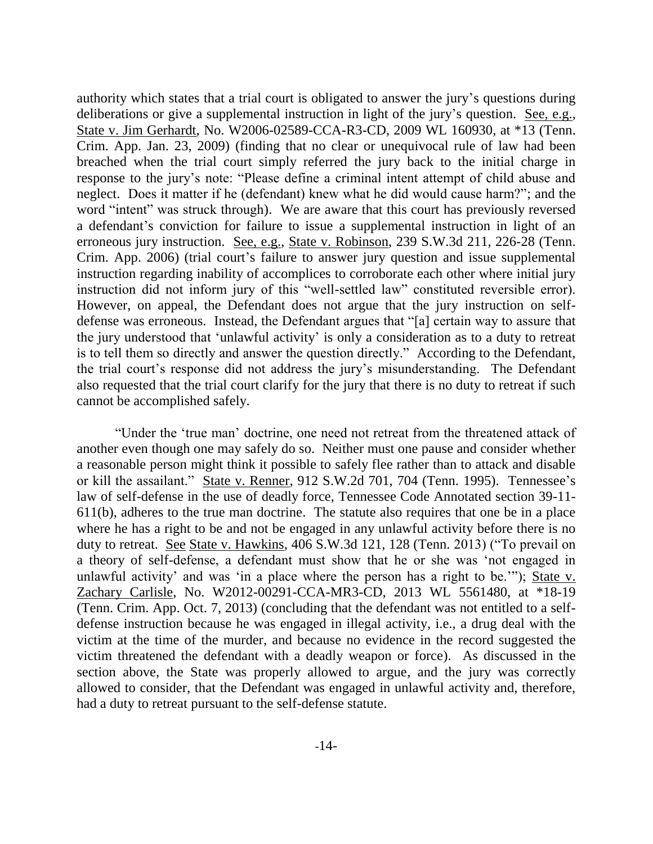authority which states that a trial court is obligated to answer the jury's questions during deliberations or give a supplemental instruction in light of the jury's question. See, e.g., State v. Jim Gerhardt, No. W2006-02589-CCA-R3-CD, 2009 WL 160930, at \*13 (Tenn. Crim. App. Jan. 23, 2009) (finding that no clear or unequivocal rule of law had been breached when the trial court simply referred the jury back to the initial charge in response to the jury's note: "Please define a criminal intent attempt of child abuse and neglect. Does it matter if he (defendant) knew what he did would cause harm?"; and the word "intent" was struck through). We are aware that this court has previously reversed a defendant's conviction for failure to issue a supplemental instruction in light of an erroneous jury instruction. See, e.g., State v. Robinson, 239 S.W.3d 211, 226-28 (Tenn. Crim. App. 2006) (trial court's failure to answer jury question and issue supplemental instruction regarding inability of accomplices to corroborate each other where initial jury instruction did not inform jury of this "well-settled law" constituted reversible error). However, on appeal, the Defendant does not argue that the jury instruction on selfdefense was erroneous. Instead, the Defendant argues that "[a] certain way to assure that the jury understood that 'unlawful activity' is only a consideration as to a duty to retreat is to tell them so directly and answer the question directly." According to the Defendant, the trial court's response did not address the jury's misunderstanding. The Defendant also requested that the trial court clarify for the jury that there is no duty to retreat if such cannot be accomplished safely.

―Under the ‗true man' doctrine, one need not retreat from the threatened attack of another even though one may safely do so. Neither must one pause and consider whether a reasonable person might think it possible to safely flee rather than to attack and disable or kill the assailant." State v. Renner, 912 S.W.2d 701, 704 (Tenn. 1995). Tennessee's law of self-defense in the use of deadly force, Tennessee Code Annotated section 39-11- 611(b), adheres to the true man doctrine. The statute also requires that one be in a place where he has a right to be and not be engaged in any unlawful activity before there is no duty to retreat. See State v. Hawkins, 406 S.W.3d 121, 128 (Tenn. 2013) ("To prevail on a theory of self-defense, a defendant must show that he or she was 'not engaged in unlawful activity' and was 'in a place where the person has a right to be.""); State v. Zachary Carlisle, No. W2012-00291-CCA-MR3-CD, 2013 WL 5561480, at \*18-19 (Tenn. Crim. App. Oct. 7, 2013) (concluding that the defendant was not entitled to a selfdefense instruction because he was engaged in illegal activity, i.e., a drug deal with the victim at the time of the murder, and because no evidence in the record suggested the victim threatened the defendant with a deadly weapon or force). As discussed in the section above, the State was properly allowed to argue, and the jury was correctly allowed to consider, that the Defendant was engaged in unlawful activity and, therefore, had a duty to retreat pursuant to the self-defense statute.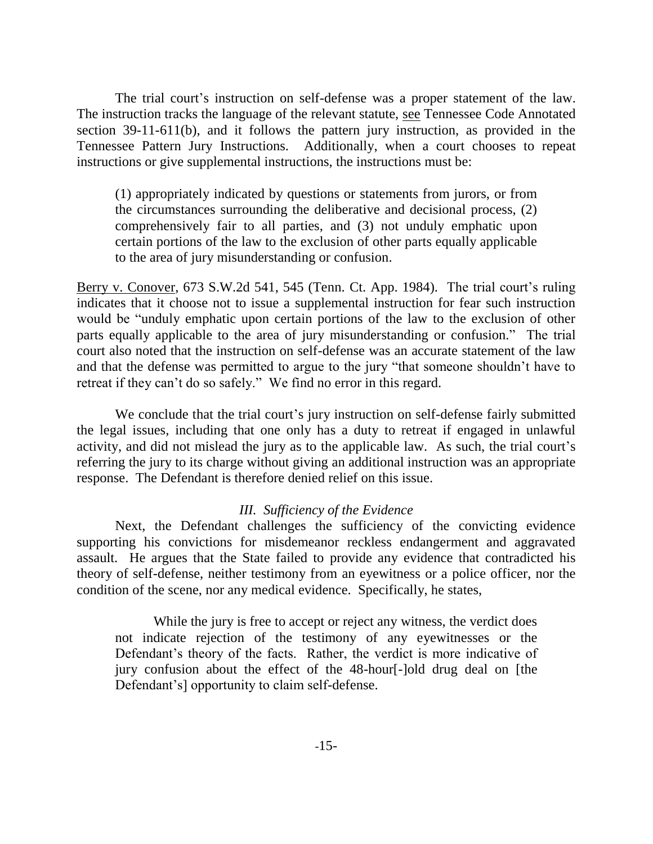The trial court's instruction on self-defense was a proper statement of the law. The instruction tracks the language of the relevant statute, see Tennessee Code Annotated section 39-11-611(b), and it follows the pattern jury instruction, as provided in the Tennessee Pattern Jury Instructions. Additionally, when a court chooses to repeat instructions or give supplemental instructions, the instructions must be:

(1) appropriately indicated by questions or statements from jurors, or from the circumstances surrounding the deliberative and decisional process, (2) comprehensively fair to all parties, and (3) not unduly emphatic upon certain portions of the law to the exclusion of other parts equally applicable to the area of jury misunderstanding or confusion.

Berry v. Conover, 673 S.W.2d 541, 545 (Tenn. Ct. App. 1984). The trial court's ruling indicates that it choose not to issue a supplemental instruction for fear such instruction would be "unduly emphatic upon certain portions of the law to the exclusion of other parts equally applicable to the area of jury misunderstanding or confusion." The trial court also noted that the instruction on self-defense was an accurate statement of the law and that the defense was permitted to argue to the jury "that someone shouldn't have to retreat if they can't do so safely." We find no error in this regard.

We conclude that the trial court's jury instruction on self-defense fairly submitted the legal issues, including that one only has a duty to retreat if engaged in unlawful activity, and did not mislead the jury as to the applicable law. As such, the trial court's referring the jury to its charge without giving an additional instruction was an appropriate response. The Defendant is therefore denied relief on this issue.

## *III. Sufficiency of the Evidence*

Next, the Defendant challenges the sufficiency of the convicting evidence supporting his convictions for misdemeanor reckless endangerment and aggravated assault. He argues that the State failed to provide any evidence that contradicted his theory of self-defense, neither testimony from an eyewitness or a police officer, nor the condition of the scene, nor any medical evidence. Specifically, he states,

While the jury is free to accept or reject any witness, the verdict does not indicate rejection of the testimony of any eyewitnesses or the Defendant's theory of the facts. Rather, the verdict is more indicative of jury confusion about the effect of the 48-hour[-]old drug deal on [the Defendant's] opportunity to claim self-defense.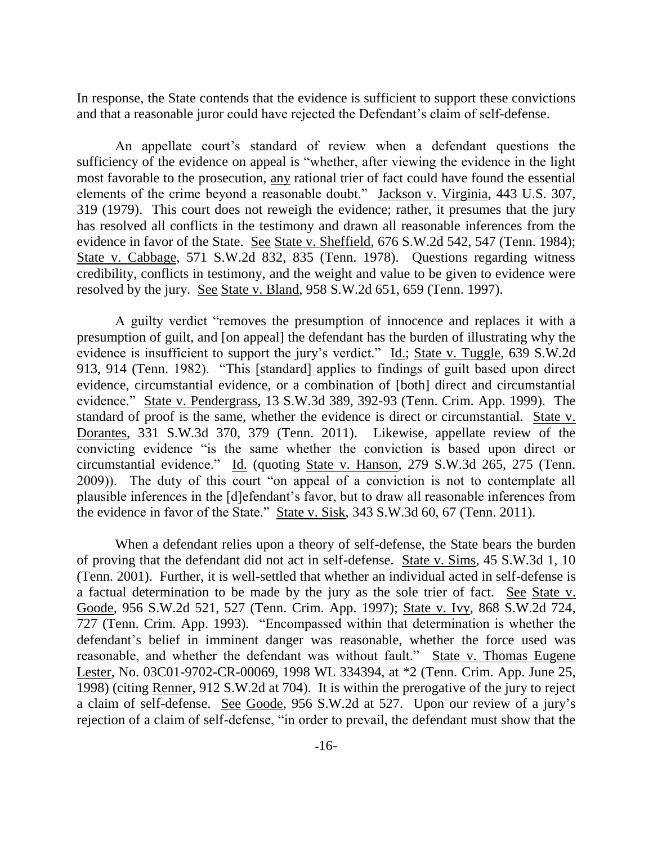In response, the State contends that the evidence is sufficient to support these convictions and that a reasonable juror could have rejected the Defendant's claim of self-defense.

An appellate court's standard of review when a defendant questions the sufficiency of the evidence on appeal is "whether, after viewing the evidence in the light most favorable to the prosecution, any rational trier of fact could have found the essential elements of the crime beyond a reasonable doubt." Jackson v. Virginia, 443 U.S. 307, 319 (1979). This court does not reweigh the evidence; rather, it presumes that the jury has resolved all conflicts in the testimony and drawn all reasonable inferences from the evidence in favor of the State. See State v. Sheffield, 676 S.W.2d 542, 547 (Tenn. 1984); State v. Cabbage, 571 S.W.2d 832, 835 (Tenn. 1978). Questions regarding witness credibility, conflicts in testimony, and the weight and value to be given to evidence were resolved by the jury. See State v. Bland, 958 S.W.2d 651, 659 (Tenn. 1997).

A guilty verdict "removes the presumption of innocence and replaces it with a presumption of guilt, and [on appeal] the defendant has the burden of illustrating why the evidence is insufficient to support the jury's verdict." Id.; State v. Tuggle, 639 S.W.2d 913, 914 (Tenn. 1982). "This [standard] applies to findings of guilt based upon direct evidence, circumstantial evidence, or a combination of [both] direct and circumstantial evidence." State v. Pendergrass, 13 S.W.3d 389, 392-93 (Tenn. Crim. App. 1999). The standard of proof is the same, whether the evidence is direct or circumstantial. State v. Dorantes, 331 S.W.3d 370, 379 (Tenn. 2011). Likewise, appellate review of the convicting evidence "is the same whether the conviction is based upon direct or circumstantial evidence.‖ Id. (quoting State v. Hanson, 279 S.W.3d 265, 275 (Tenn. 2009)). The duty of this court "on appeal of a conviction is not to contemplate all plausible inferences in the [d]efendant's favor, but to draw all reasonable inferences from the evidence in favor of the State." State v. Sisk, 343 S.W.3d 60, 67 (Tenn. 2011).

When a defendant relies upon a theory of self-defense, the State bears the burden of proving that the defendant did not act in self-defense. State v. Sims, 45 S.W.3d 1, 10 (Tenn. 2001). Further, it is well-settled that whether an individual acted in self-defense is a factual determination to be made by the jury as the sole trier of fact. See State v. Goode, 956 S.W.2d 521, 527 (Tenn. Crim. App. 1997); State v. Ivy, 868 S.W.2d 724, 727 (Tenn. Crim. App. 1993). "Encompassed within that determination is whether the defendant's belief in imminent danger was reasonable, whether the force used was reasonable, and whether the defendant was without fault." State v. Thomas Eugene Lester, No. 03C01-9702-CR-00069, 1998 WL 334394, at \*2 (Tenn. Crim. App. June 25, 1998) (citing Renner, 912 S.W.2d at 704). It is within the prerogative of the jury to reject a claim of self-defense. See Goode, 956 S.W.2d at 527. Upon our review of a jury's rejection of a claim of self-defense, "in order to prevail, the defendant must show that the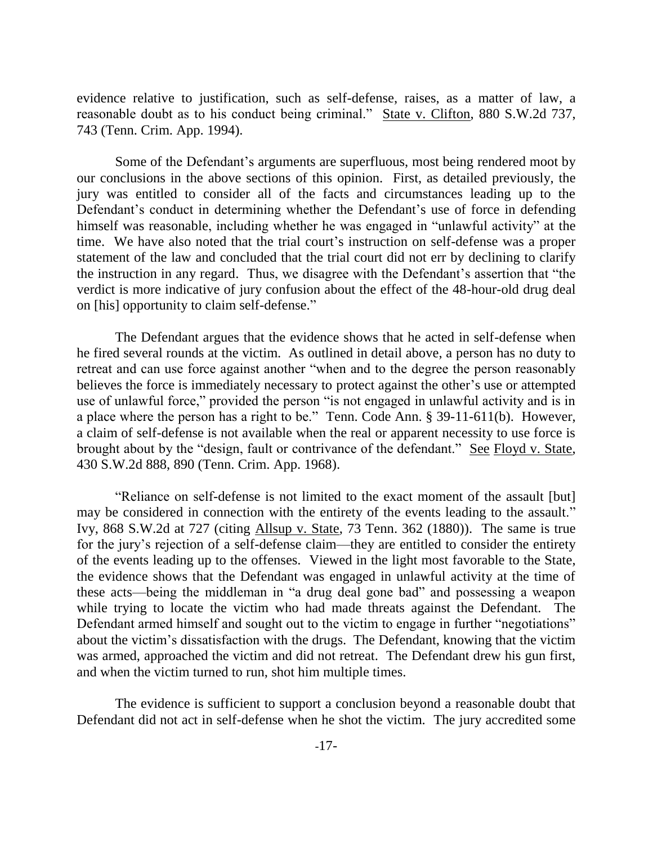evidence relative to justification, such as self-defense, raises, as a matter of law, a reasonable doubt as to his conduct being criminal." State v. Clifton, 880 S.W.2d 737, 743 (Tenn. Crim. App. 1994).

Some of the Defendant's arguments are superfluous, most being rendered moot by our conclusions in the above sections of this opinion. First, as detailed previously, the jury was entitled to consider all of the facts and circumstances leading up to the Defendant's conduct in determining whether the Defendant's use of force in defending himself was reasonable, including whether he was engaged in "unlawful activity" at the time. We have also noted that the trial court's instruction on self-defense was a proper statement of the law and concluded that the trial court did not err by declining to clarify the instruction in any regard. Thus, we disagree with the Defendant's assertion that "the verdict is more indicative of jury confusion about the effect of the 48-hour-old drug deal on [his] opportunity to claim self-defense."

The Defendant argues that the evidence shows that he acted in self-defense when he fired several rounds at the victim. As outlined in detail above, a person has no duty to retreat and can use force against another "when and to the degree the person reasonably believes the force is immediately necessary to protect against the other's use or attempted use of unlawful force," provided the person "is not engaged in unlawful activity and is in a place where the person has a right to be." Tenn. Code Ann. § 39-11-611(b). However, a claim of self-defense is not available when the real or apparent necessity to use force is brought about by the "design, fault or contrivance of the defendant." See Floyd v. State, 430 S.W.2d 888, 890 (Tenn. Crim. App. 1968).

―Reliance on self-defense is not limited to the exact moment of the assault [but] may be considered in connection with the entirety of the events leading to the assault." Ivy, 868 S.W.2d at 727 (citing Allsup v. State, 73 Tenn. 362 (1880)). The same is true for the jury's rejection of a self-defense claim—they are entitled to consider the entirety of the events leading up to the offenses. Viewed in the light most favorable to the State, the evidence shows that the Defendant was engaged in unlawful activity at the time of these acts—being the middleman in "a drug deal gone bad" and possessing a weapon while trying to locate the victim who had made threats against the Defendant. The Defendant armed himself and sought out to the victim to engage in further "negotiations" about the victim's dissatisfaction with the drugs. The Defendant, knowing that the victim was armed, approached the victim and did not retreat. The Defendant drew his gun first, and when the victim turned to run, shot him multiple times.

The evidence is sufficient to support a conclusion beyond a reasonable doubt that Defendant did not act in self-defense when he shot the victim. The jury accredited some